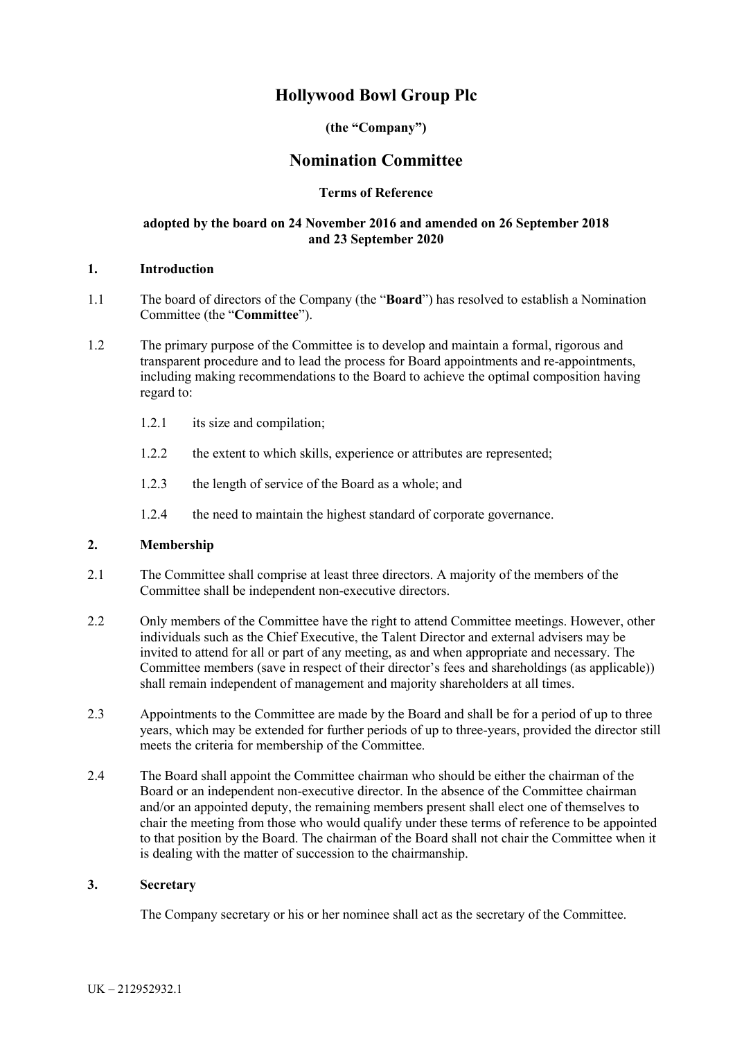# **Hollywood Bowl Group Plc**

# **(the "Company")**

# **Nomination Committee**

#### **Terms of Reference**

#### **adopted by the board on 24 November 2016 and amended on 26 September 2018 and 23 September 2020**

# **1. Introduction**

- 1.1 The board of directors of the Company (the "**Board**") has resolved to establish a Nomination Committee (the "**Committee**").
- 1.2 The primary purpose of the Committee is to develop and maintain a formal, rigorous and transparent procedure and to lead the process for Board appointments and re-appointments, including making recommendations to the Board to achieve the optimal composition having regard to:
	- 1.2.1 its size and compilation;
	- 1.2.2 the extent to which skills, experience or attributes are represented;
	- 1.2.3 the length of service of the Board as a whole; and
	- 1.2.4 the need to maintain the highest standard of corporate governance.

#### **2. Membership**

- 2.1 The Committee shall comprise at least three directors. A majority of the members of the Committee shall be independent non-executive directors.
- 2.2 Only members of the Committee have the right to attend Committee meetings. However, other individuals such as the Chief Executive, the Talent Director and external advisers may be invited to attend for all or part of any meeting, as and when appropriate and necessary. The Committee members (save in respect of their director's fees and shareholdings (as applicable)) shall remain independent of management and majority shareholders at all times.
- 2.3 Appointments to the Committee are made by the Board and shall be for a period of up to three years, which may be extended for further periods of up to three-years, provided the director still meets the criteria for membership of the Committee.
- 2.4 The Board shall appoint the Committee chairman who should be either the chairman of the Board or an independent non-executive director. In the absence of the Committee chairman and/or an appointed deputy, the remaining members present shall elect one of themselves to chair the meeting from those who would qualify under these terms of reference to be appointed to that position by the Board. The chairman of the Board shall not chair the Committee when it is dealing with the matter of succession to the chairmanship.

#### **3. Secretary**

The Company secretary or his or her nominee shall act as the secretary of the Committee.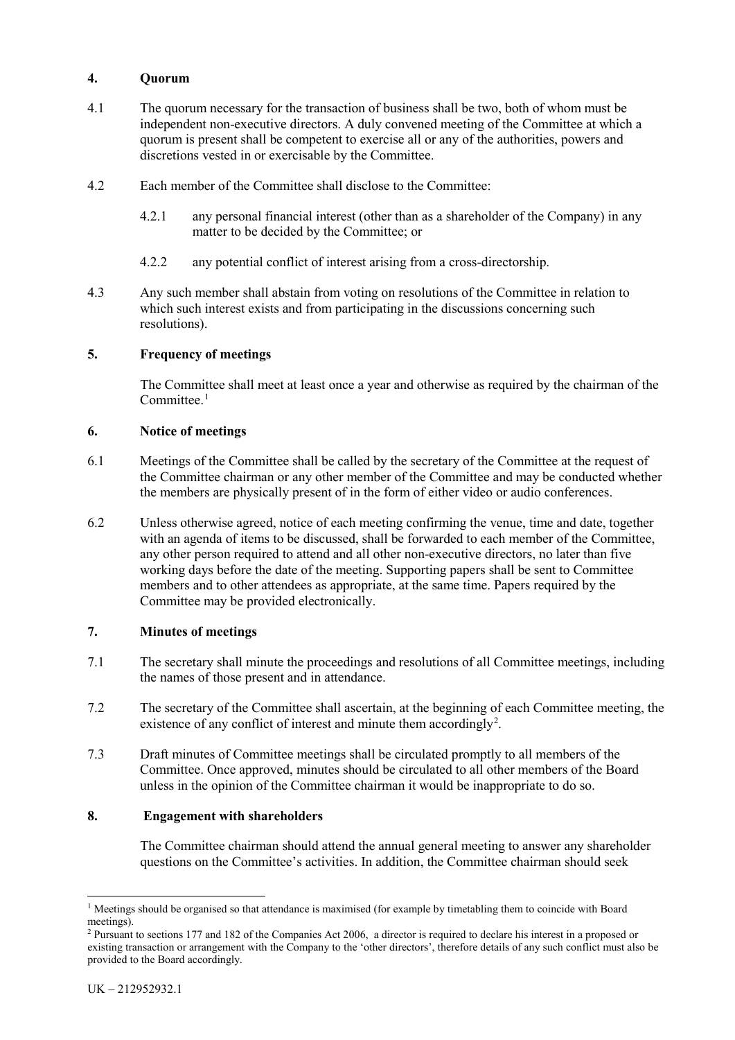# **4. Quorum**

- 4.1 The quorum necessary for the transaction of business shall be two, both of whom must be independent non-executive directors. A duly convened meeting of the Committee at which a quorum is present shall be competent to exercise all or any of the authorities, powers and discretions vested in or exercisable by the Committee.
- 4.2 Each member of the Committee shall disclose to the Committee:
	- 4.2.1 any personal financial interest (other than as a shareholder of the Company) in any matter to be decided by the Committee; or
	- 4.2.2 any potential conflict of interest arising from a cross-directorship.
- 4.3 Any such member shall abstain from voting on resolutions of the Committee in relation to which such interest exists and from participating in the discussions concerning such resolutions).

# **5. Frequency of meetings**

The Committee shall meet at least once a year and otherwise as required by the chairman of the Committee. [1](#page-1-0)

#### **6. Notice of meetings**

- 6.1 Meetings of the Committee shall be called by the secretary of the Committee at the request of the Committee chairman or any other member of the Committee and may be conducted whether the members are physically present of in the form of either video or audio conferences.
- 6.2 Unless otherwise agreed, notice of each meeting confirming the venue, time and date, together with an agenda of items to be discussed, shall be forwarded to each member of the Committee, any other person required to attend and all other non-executive directors, no later than five working days before the date of the meeting. Supporting papers shall be sent to Committee members and to other attendees as appropriate, at the same time. Papers required by the Committee may be provided electronically.

# **7. Minutes of meetings**

- 7.1 The secretary shall minute the proceedings and resolutions of all Committee meetings, including the names of those present and in attendance.
- 7.2 The secretary of the Committee shall ascertain, at the beginning of each Committee meeting, the existence of any conflict of interest and minute them accordingly<sup>[2](#page-1-1)</sup>.
- 7.3 Draft minutes of Committee meetings shall be circulated promptly to all members of the Committee. Once approved, minutes should be circulated to all other members of the Board unless in the opinion of the Committee chairman it would be inappropriate to do so.

#### **8. Engagement with shareholders**

The Committee chairman should attend the annual general meeting to answer any shareholder questions on the Committee's activities. In addition, the Committee chairman should seek

<span id="page-1-0"></span><sup>&</sup>lt;sup>1</sup> Meetings should be organised so that attendance is maximised (for example by timetabling them to coincide with Board meetings).

<span id="page-1-1"></span><sup>2</sup> Pursuant to sections 177 and 182 of the Companies Act 2006, a director is required to declare his interest in a proposed or existing transaction or arrangement with the Company to the 'other directors', therefore details of any such conflict must also be provided to the Board accordingly.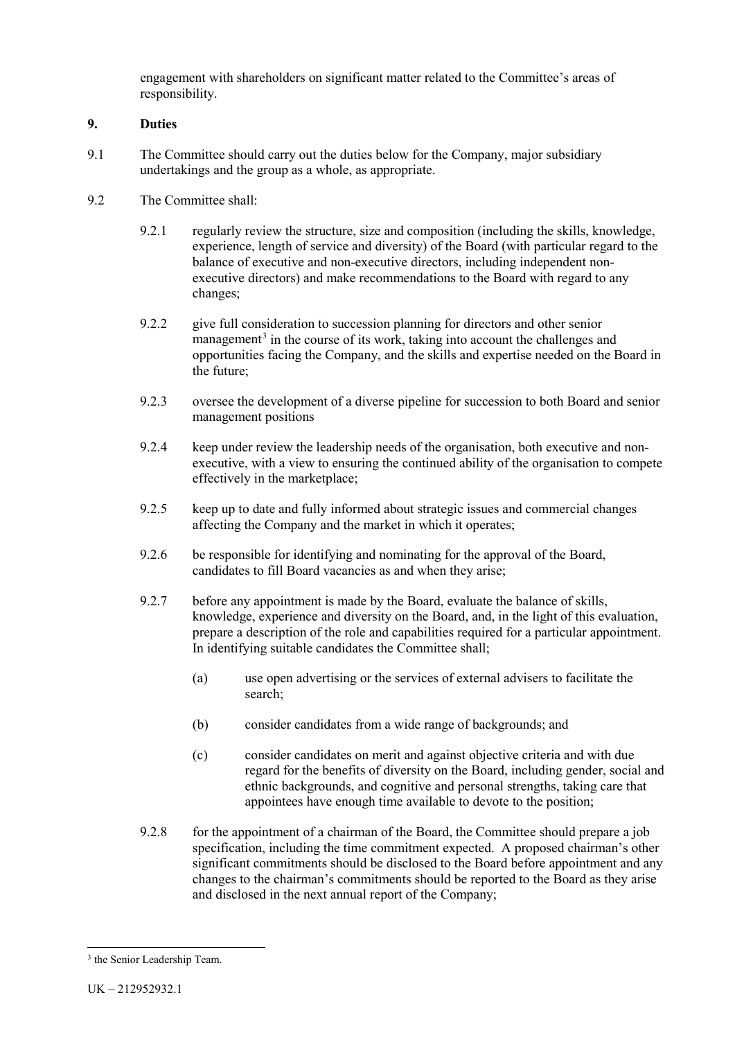engagement with shareholders on significant matter related to the Committee's areas of responsibility.

#### **9. Duties**

- 9.1 The Committee should carry out the duties below for the Company, major subsidiary undertakings and the group as a whole, as appropriate.
- 9.2 The Committee shall:
	- 9.2.1 regularly review the structure, size and composition (including the skills, knowledge, experience, length of service and diversity) of the Board (with particular regard to the balance of executive and non-executive directors, including independent nonexecutive directors) and make recommendations to the Board with regard to any changes;
	- 9.2.2 give full consideration to succession planning for directors and other senior management<sup>[3](#page-2-0)</sup> in the course of its work, taking into account the challenges and opportunities facing the Company, and the skills and expertise needed on the Board in the future;
	- 9.2.3 oversee the development of a diverse pipeline for succession to both Board and senior management positions
	- 9.2.4 keep under review the leadership needs of the organisation, both executive and nonexecutive, with a view to ensuring the continued ability of the organisation to compete effectively in the marketplace;
	- 9.2.5 keep up to date and fully informed about strategic issues and commercial changes affecting the Company and the market in which it operates;
	- 9.2.6 be responsible for identifying and nominating for the approval of the Board, candidates to fill Board vacancies as and when they arise;
	- 9.2.7 before any appointment is made by the Board, evaluate the balance of skills, knowledge, experience and diversity on the Board, and, in the light of this evaluation, prepare a description of the role and capabilities required for a particular appointment. In identifying suitable candidates the Committee shall;
		- (a) use open advertising or the services of external advisers to facilitate the search;
		- (b) consider candidates from a wide range of backgrounds; and
		- (c) consider candidates on merit and against objective criteria and with due regard for the benefits of diversity on the Board, including gender, social and ethnic backgrounds, and cognitive and personal strengths, taking care that appointees have enough time available to devote to the position;
	- 9.2.8 for the appointment of a chairman of the Board, the Committee should prepare a job specification, including the time commitment expected. A proposed chairman's other significant commitments should be disclosed to the Board before appointment and any changes to the chairman's commitments should be reported to the Board as they arise and disclosed in the next annual report of the Company;

<span id="page-2-0"></span><sup>&</sup>lt;sup>3</sup> the Senior Leadership Team.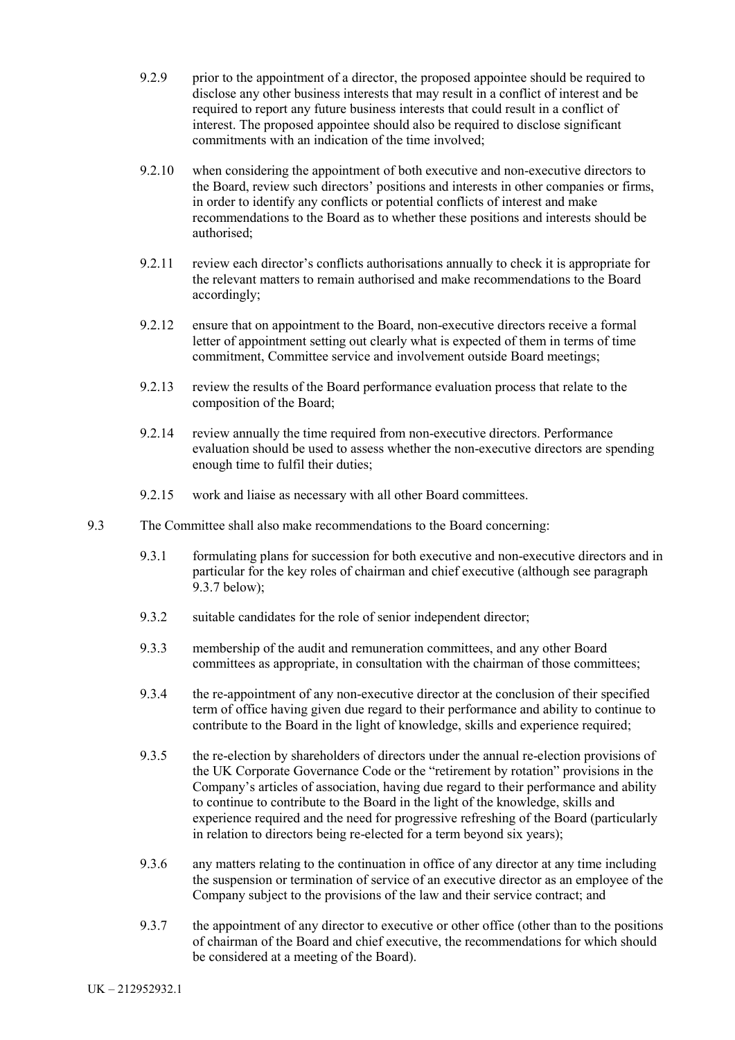- 9.2.9 prior to the appointment of a director, the proposed appointee should be required to disclose any other business interests that may result in a conflict of interest and be required to report any future business interests that could result in a conflict of interest. The proposed appointee should also be required to disclose significant commitments with an indication of the time involved;
- 9.2.10 when considering the appointment of both executive and non-executive directors to the Board, review such directors' positions and interests in other companies or firms, in order to identify any conflicts or potential conflicts of interest and make recommendations to the Board as to whether these positions and interests should be authorised;
- 9.2.11 review each director's conflicts authorisations annually to check it is appropriate for the relevant matters to remain authorised and make recommendations to the Board accordingly;
- 9.2.12 ensure that on appointment to the Board, non-executive directors receive a formal letter of appointment setting out clearly what is expected of them in terms of time commitment, Committee service and involvement outside Board meetings;
- 9.2.13 review the results of the Board performance evaluation process that relate to the composition of the Board;
- 9.2.14 review annually the time required from non-executive directors. Performance evaluation should be used to assess whether the non-executive directors are spending enough time to fulfil their duties;
- 9.2.15 work and liaise as necessary with all other Board committees.
- 9.3 The Committee shall also make recommendations to the Board concerning:
	- 9.3.1 formulating plans for succession for both executive and non-executive directors and in particular for the key roles of chairman and chief executive (although see paragraph 9.3.7 below);
	- 9.3.2 suitable candidates for the role of senior independent director;
	- 9.3.3 membership of the audit and remuneration committees, and any other Board committees as appropriate, in consultation with the chairman of those committees;
	- 9.3.4 the re-appointment of any non-executive director at the conclusion of their specified term of office having given due regard to their performance and ability to continue to contribute to the Board in the light of knowledge, skills and experience required;
	- 9.3.5 the re-election by shareholders of directors under the annual re-election provisions of the UK Corporate Governance Code or the "retirement by rotation" provisions in the Company's articles of association, having due regard to their performance and ability to continue to contribute to the Board in the light of the knowledge, skills and experience required and the need for progressive refreshing of the Board (particularly in relation to directors being re-elected for a term beyond six years);
	- 9.3.6 any matters relating to the continuation in office of any director at any time including the suspension or termination of service of an executive director as an employee of the Company subject to the provisions of the law and their service contract; and
	- 9.3.7 the appointment of any director to executive or other office (other than to the positions of chairman of the Board and chief executive, the recommendations for which should be considered at a meeting of the Board).